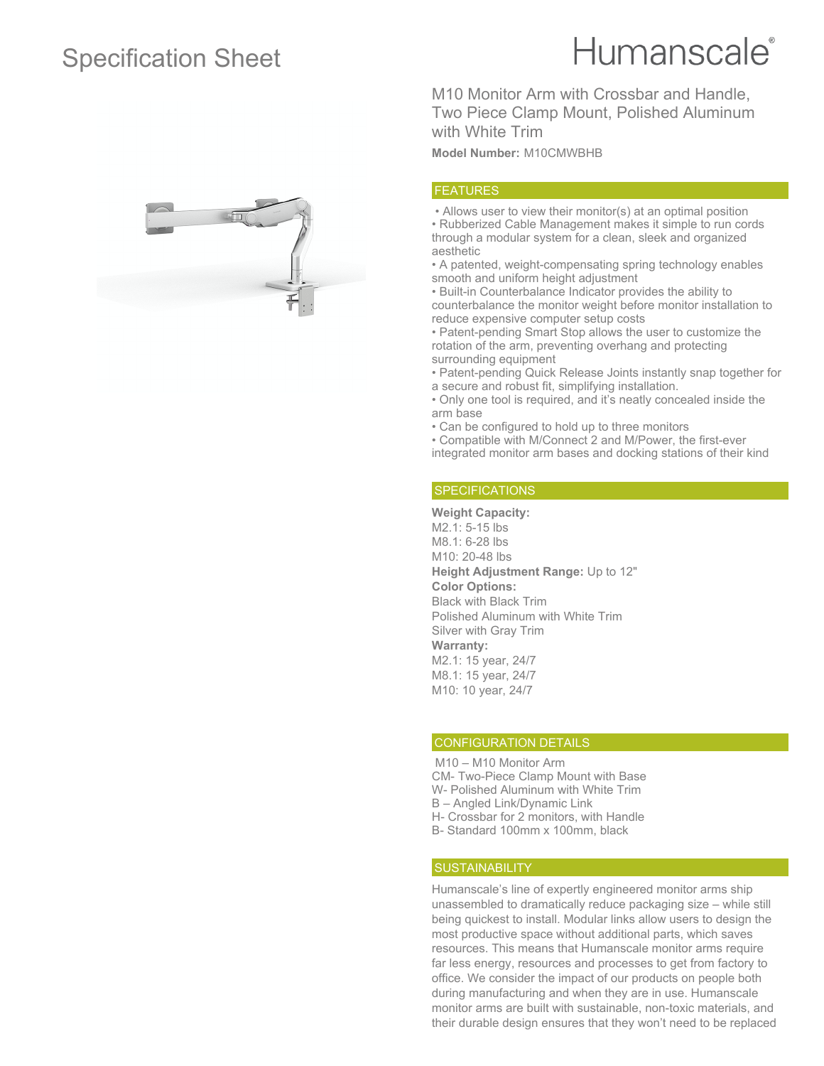## Specification Sheet

# Humanscale<sup>®</sup>

M10 Monitor Arm with Crossbar and Handle, Two Piece Clamp Mount, Polished Aluminum with White Trim

**Model Number:** M10CMWBHB

### FEATURES

 • Allows user to view their monitor(s) at an optimal position • Rubberized Cable Management makes it simple to run cords through a modular system for a clean, sleek and organized aesthetic

• A patented, weight-compensating spring technology enables smooth and uniform height adjustment

• Built-in Counterbalance Indicator provides the ability to counterbalance the monitor weight before monitor installation to reduce expensive computer setup costs

• Patent-pending Smart Stop allows the user to customize the rotation of the arm, preventing overhang and protecting surrounding equipment

• Patent-pending Quick Release Joints instantly snap together for a secure and robust fit, simplifying installation.

• Only one tool is required, and it's neatly concealed inside the arm base

• Can be configured to hold up to three monitors

• Compatible with M/Connect 2 and M/Power, the first-ever integrated monitor arm bases and docking stations of their kind

#### **SPECIFICATIONS**

**Weight Capacity:** M2.1: 5-15 lbs M8.1: 6-28 lbs M10: 20-48 lbs **Height Adjustment Range:** Up to 12" **Color Options:** Black with Black Trim Polished Aluminum with White Trim Silver with Gray Trim **Warranty:** M2.1: 15 year, 24/7 M8.1: 15 year, 24/7 M10: 10 year, 24/7

#### CONFIGURATION DETAILS

 M10 – M10 Monitor Arm CM- Two-Piece Clamp Mount with Base W- Polished Aluminum with White Trim B – Angled Link/Dynamic Link H- Crossbar for 2 monitors, with Handle

B- Standard 100mm x 100mm, black

#### **SUSTAINABILITY**

Humanscale's line of expertly engineered monitor arms ship unassembled to dramatically reduce packaging size – while still being quickest to install. Modular links allow users to design the most productive space without additional parts, which saves resources. This means that Humanscale monitor arms require far less energy, resources and processes to get from factory to office. We consider the impact of our products on people both during manufacturing and when they are in use. Humanscale monitor arms are built with sustainable, non-toxic materials, and their durable design ensures that they won't need to be replaced